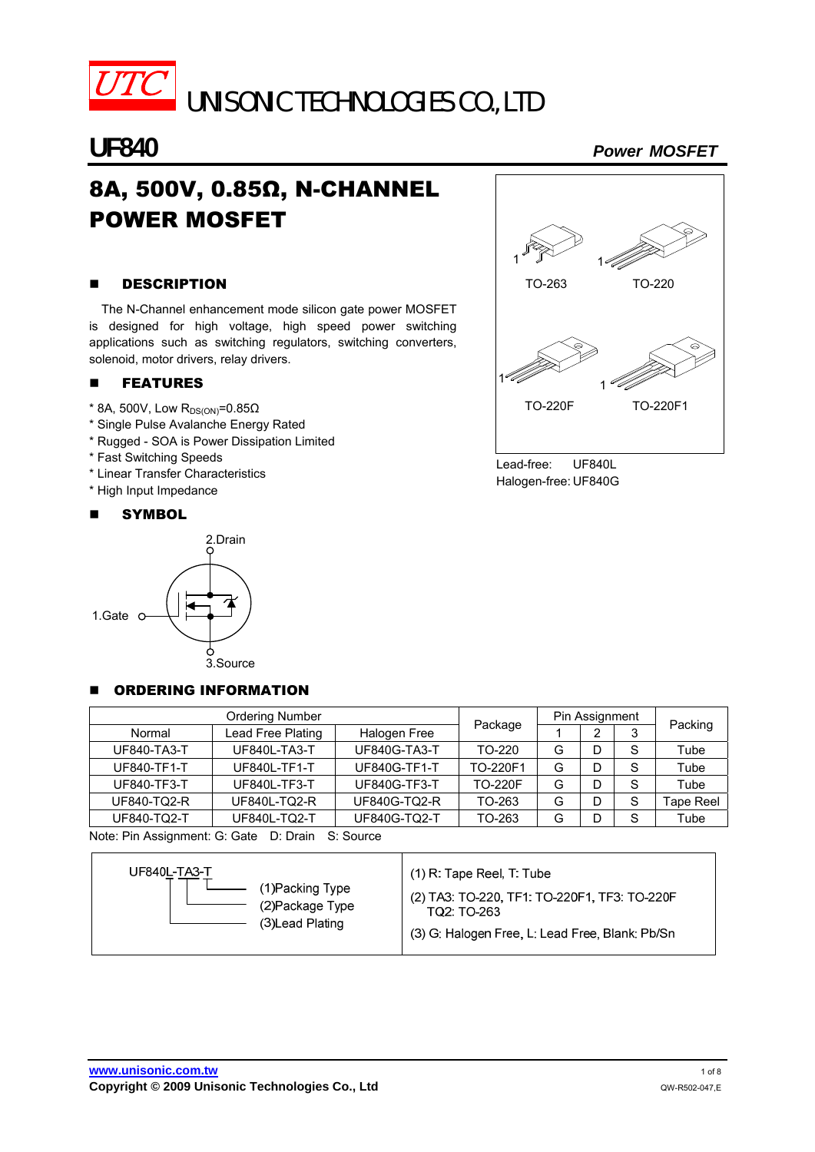

UNISONIC TECHNOLOGIES CO., LTD

# 8A, 500V, 0.85Ω, N-CHANNEL POWER MOSFET

# **B** DESCRIPTION

The N-Channel enhancement mode silicon gate power MOSFET is designed for high voltage, high speed power switching applications such as switching regulators, switching converters, solenoid, motor drivers, relay drivers.

# **E** FEATURES

- $*$  8A, 500V, Low R<sub>DS(ON)</sub>=0.85 $\Omega$
- \* Single Pulse Avalanche Energy Rated
- \* Rugged SOA is Power Dissipation Limited
- \* Fast Switching Speeds
- \* Linear Transfer Characteristics
- \* High Input Impedance

#### **NEW SYMBOL**





Lead-free: UF840L Halogen-free: UF840G

# ORDERING INFORMATION

| Ordering Number |                   |                     |                | Pin Assignment |   |   |           |  |
|-----------------|-------------------|---------------------|----------------|----------------|---|---|-----------|--|
| Normal          | Lead Free Plating | Halogen Free        | Package        |                | っ |   | Packing   |  |
| UF840-TA3-T     | UF840L-TA3-T      | <b>UF840G-TA3-T</b> | TO-220         | G              | D | S | Tube      |  |
| UF840-TF1-T     | UF840L-TF1-T      | <b>UF840G-TF1-T</b> | TO-220F1       | G              | D | S | Tube      |  |
| UF840-TF3-T     | UF840L-TF3-T      | <b>UF840G-TF3-T</b> | <b>TO-220F</b> | G              | D | S | Tube      |  |
| UF840-TQ2-R     | UF840L-TQ2-R      | UF840G-TQ2-R        | TO-263         | G              | D | S | Tape Reel |  |
| UF840-TQ2-T     | UF840L-TQ2-T      | UF840G-TQ2-T        | TO-263         | G              |   | S | Tube      |  |

Note: Pin Assignment: G: Gate D: Drain S: Source

| UF840L-TA3-T     | $(1)$ R: Tape Reel, T: Tube                     |
|------------------|-------------------------------------------------|
| (1) Packing Type | (2) TA3: TO-220, TF1: TO-220F1, TF3: TO-220F    |
| (2) Package Type | TO2: TO-263                                     |
| (3) Lead Plating | (3) G: Halogen Free, L: Lead Free, Blank: Pb/Sn |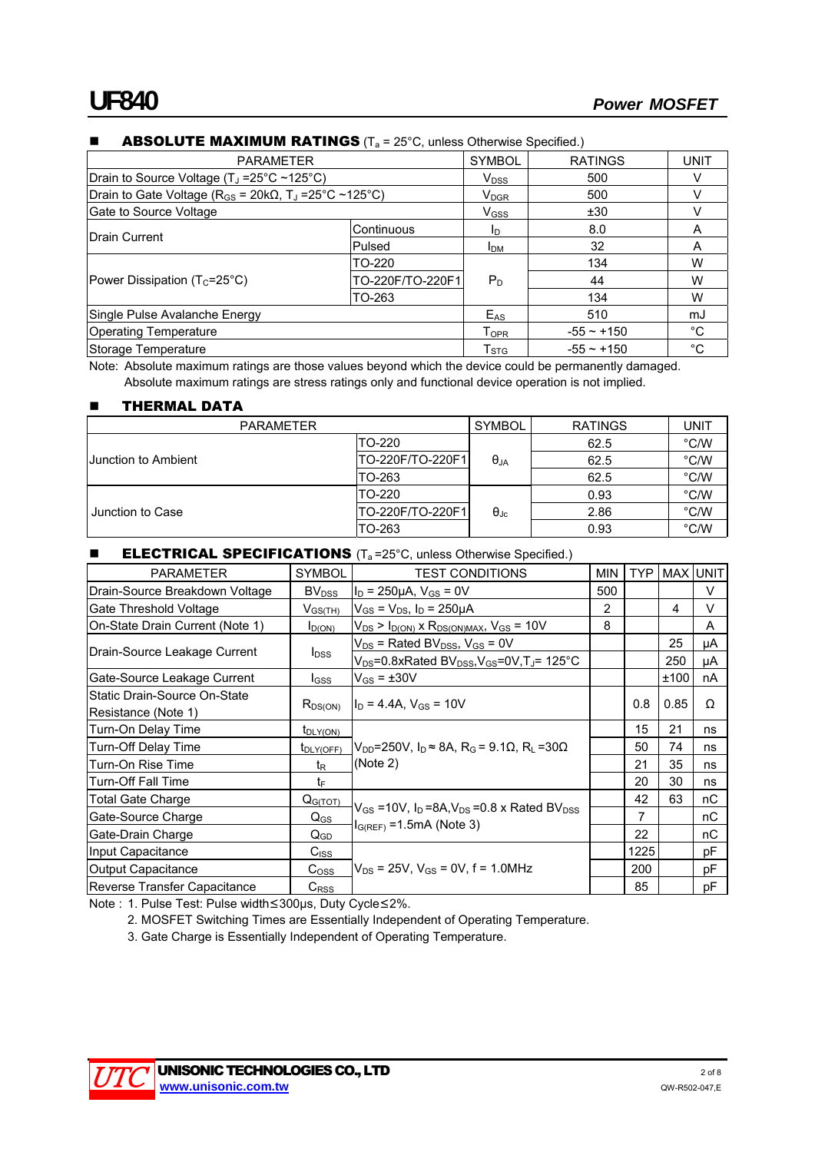| <b>PARAMETER</b>                                                                |                  |             | <b>RATINGS</b>  | <b>UNIT</b> |  |  |  |  |
|---------------------------------------------------------------------------------|------------------|-------------|-----------------|-------------|--|--|--|--|
| Drain to Source Voltage (T <sub>J</sub> = 25°C ~ 125°C)                         |                  |             | 500             |             |  |  |  |  |
| Drain to Gate Voltage ( $R_{GS}$ = 20k $\Omega$ , T <sub>J</sub> = 25°C ~125°C) |                  |             | 500             |             |  |  |  |  |
| Gate to Source Voltage                                                          |                  |             | ±30             |             |  |  |  |  |
| Drain Current                                                                   | Continuous       | ID.         | 8.0             | A           |  |  |  |  |
|                                                                                 | Pulsed           | <b>I</b> DM | 32              | A           |  |  |  |  |
|                                                                                 | TO-220           |             | 134             | w           |  |  |  |  |
| Power Dissipation ( $T_c = 25^{\circ}C$ )                                       | TO-220F/TO-220F1 | $P_D$       | 44              | W           |  |  |  |  |
|                                                                                 | TO-263           |             | 134             | W           |  |  |  |  |
| Single Pulse Avalanche Energy                                                   |                  |             | 510             | mJ          |  |  |  |  |
| <b>Operating Temperature</b>                                                    |                  |             | $-55 - +150$    | °C          |  |  |  |  |
| Storage Temperature                                                             |                  |             | $-55 \sim +150$ | °C          |  |  |  |  |

### **ABSOLUTE MAXIMUM RATINGS** ( $T_a$  = 25°C, unless Otherwise Specified.)

Note: Absolute maximum ratings are those values beyond which the device could be permanently damaged. Absolute maximum ratings are stress ratings only and functional device operation is not implied.

#### **THERMAL DATA**

| <b>SYMBOL</b><br><b>PARAMETER</b> |                  |                   | <b>RATINGS</b> | UNIT |
|-----------------------------------|------------------|-------------------|----------------|------|
|                                   | TO-220           |                   | 62.5           | °C/W |
| <b>Junction to Ambient</b>        | TO-220F/TO-220F1 | $\theta_{JA}$     | 62.5           | °C/W |
|                                   | TO-263           |                   | 62.5           | °C/W |
|                                   | TO-220           |                   | 0.93           | °C/W |
| Junction to Case                  | TO-220F/TO-220F1 | $\Theta_{\rm JC}$ | 2.86           | °C/W |
|                                   | TO-263           |                   | 0.93           | °C/W |

#### **ELECTRICAL SPECIFICATIONS**  $(T_a = 25^\circ \text{C}$ , unless Otherwise Specified.)

| <b>PARAMETER</b>                | <b>SYMBOL</b>              | <b>TEST CONDITIONS</b>                                                              | <b>MIN</b> | TYP  |      | <b>MAX UNIT</b> |
|---------------------------------|----------------------------|-------------------------------------------------------------------------------------|------------|------|------|-----------------|
| Drain-Source Breakdown Voltage  | BV <sub>DSS</sub>          | $I_D = 250 \mu A$ , $V_{GS} = 0V$                                                   | 500        |      |      | V               |
| Gate Threshold Voltage          | $V_{GS(TH)}$               | $V_{GS} = V_{DS}$ , $I_D = 250 \mu A$                                               | 2          |      | 4    | $\vee$          |
| On-State Drain Current (Note 1) | $I_{D(ON)}$                | $V_{DS}$ > $I_{D(ON)}$ x $R_{DS(ON)MAX}$ , $V_{GS}$ = 10V                           | 8          |      |      | A               |
| Drain-Source Leakage Current    |                            | $\rm V_{DS}$ = Rated BV $_{DSS}$ , V $_{GS}$ = 0V                                   |            |      | 25   | μA              |
|                                 | $I_{DSS}$                  | $V_{DS}$ =0.8xRated BV <sub>DSS</sub> , V <sub>GS</sub> =0V, T <sub>J</sub> = 125°C |            |      | 250  | μA              |
| Gate-Source Leakage Current     | $I_{GSS}$                  | $V_{GS}$ = $\pm 30V$                                                                |            |      | ±100 | nA              |
| Static Drain-Source On-State    |                            | $I_D = 4.4A$ , $V_{GS} = 10V$                                                       |            | 0.8  | 0.85 | Ω               |
| Resistance (Note 1)             | $R_{DS(ON)}$               |                                                                                     |            |      |      |                 |
| Turn-On Delay Time              | $t_{\text{DLY(ON)}}$       |                                                                                     |            | 15   | 21   | ns              |
| Turn-Off Delay Time             | t <sub>DLY(OFF)</sub>      | $V_{DD}$ =250V, I <sub>D</sub> ≈ 8A, R <sub>G</sub> = 9.1Ω, R <sub>L</sub> =30Ω     |            | 50   | 74   | ns              |
| Turn-On Rise Time               | t <sub>R</sub>             | (Note 2)                                                                            |            | 21   | 35   | ns              |
| Turn-Off Fall Time              | tF                         |                                                                                     |            | 20   | 30   | ns              |
| Total Gate Charge               | $Q_{G(TOT)}$               |                                                                                     |            | 42   | 63   | nС              |
| Gate-Source Charge              | $\mathsf{Q}_{\mathsf{GS}}$ | $V_{GS}$ =10V, $I_D$ =8A, $V_{DS}$ =0.8 x Rated BV <sub>DSS</sub>                   |            | 7    |      | nC              |
| Gate-Drain Charge               | $Q_{GD}$                   | $I_{G(REF)} = 1.5mA$ (Note 3)                                                       |            | 22   |      | nC              |
| Input Capacitance               | $C_{\text{ISS}}$           |                                                                                     |            | 1225 |      | рF              |
| Output Capacitance              | $C_{\rm 0SS}$              | $V_{DS}$ = 25V, $V_{GS}$ = 0V, f = 1.0MHz                                           |            | 200  |      | рF              |
| Reverse Transfer Capacitance    | $C_{RSS}$                  |                                                                                     |            | 85   |      | рF              |

Note : 1. Pulse Test: Pulse width≤300μs, Duty Cycle≤2%.

2. MOSFET Switching Times are Essentially Independent of Operating Temperature.

3. Gate Charge is Essentially Independent of Operating Temperature.

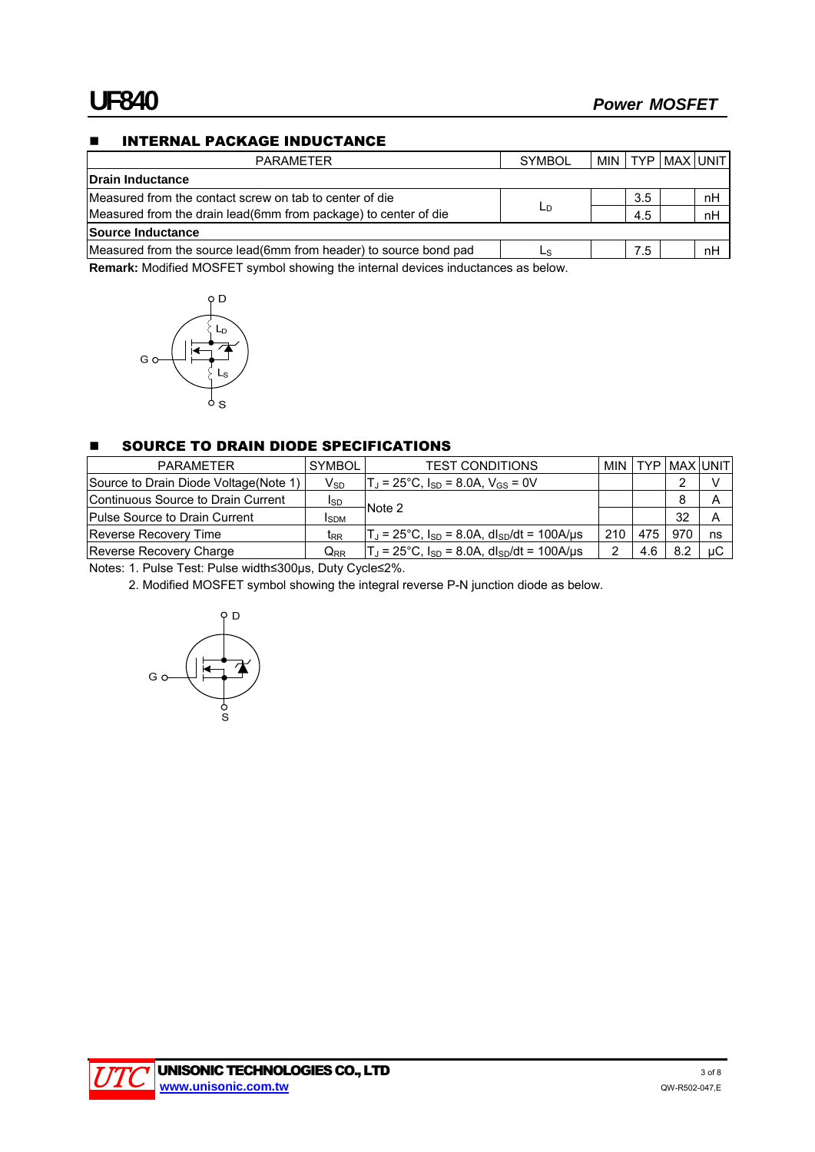# **INTERNAL PACKAGE INDUCTANCE**

| <b>PARAMETER</b>                                                   | <b>SYMBOL</b> |     | MIN   TYP   MAX   UNIT |    |
|--------------------------------------------------------------------|---------------|-----|------------------------|----|
| Drain Inductance                                                   |               |     |                        |    |
| IMeasured from the contact screw on tab to center of die           |               | 3.5 |                        | nH |
| Measured from the drain lead(6mm from package) to center of die    | LD            | 4.5 |                        | nH |
| Source Inductance                                                  |               |     |                        |    |
| Measured from the source lead (6mm from header) to source bond pad | LS.           | 7.5 |                        | nH |

**Remark:** Modified MOSFET symbol showing the internal devices inductances as below.



### **SOURCE TO DRAIN DIODE SPECIFICATIONS**

| <b>PARAMETER</b>                       | <b>SYMBOL</b>              | <b>TEST CONDITIONS</b>                                                 |     |     | MIN I TYP I MAX IUNIT I |    |
|----------------------------------------|----------------------------|------------------------------------------------------------------------|-----|-----|-------------------------|----|
| Source to Drain Diode Voltage (Note 1) | $V_{SD}$                   | $T_J$ = 25°C, I <sub>SD</sub> = 8.0A, V <sub>GS</sub> = 0V             |     |     |                         |    |
| Continuous Source to Drain Current     | ISD                        |                                                                        |     |     | 8                       |    |
| Pulse Source to Drain Current          | <b>I</b> SDM               | Note 2                                                                 |     |     | 32                      |    |
| <b>Reverse Recovery Time</b>           | t <sub>RR</sub>            | $T_J$ = 25°C, $I_{SD}$ = 8.0A, dl <sub>SD</sub> /dt = 100A/µs          | 210 |     | 970                     | ns |
| Reverse Recovery Charge                | $\mathsf{Q}_{\mathsf{RR}}$ | $T_d = 25^{\circ}$ C, $I_{SD} = 8.0$ A, dl <sub>SD</sub> /dt = 100A/us |     | 4.6 | 8.2                     | иC |

Notes: 1. Pulse Test: Pulse width≤300μs, Duty Cycle≤2%.

2. Modified MOSFET symbol showing the integral reverse P-N junction diode as below.



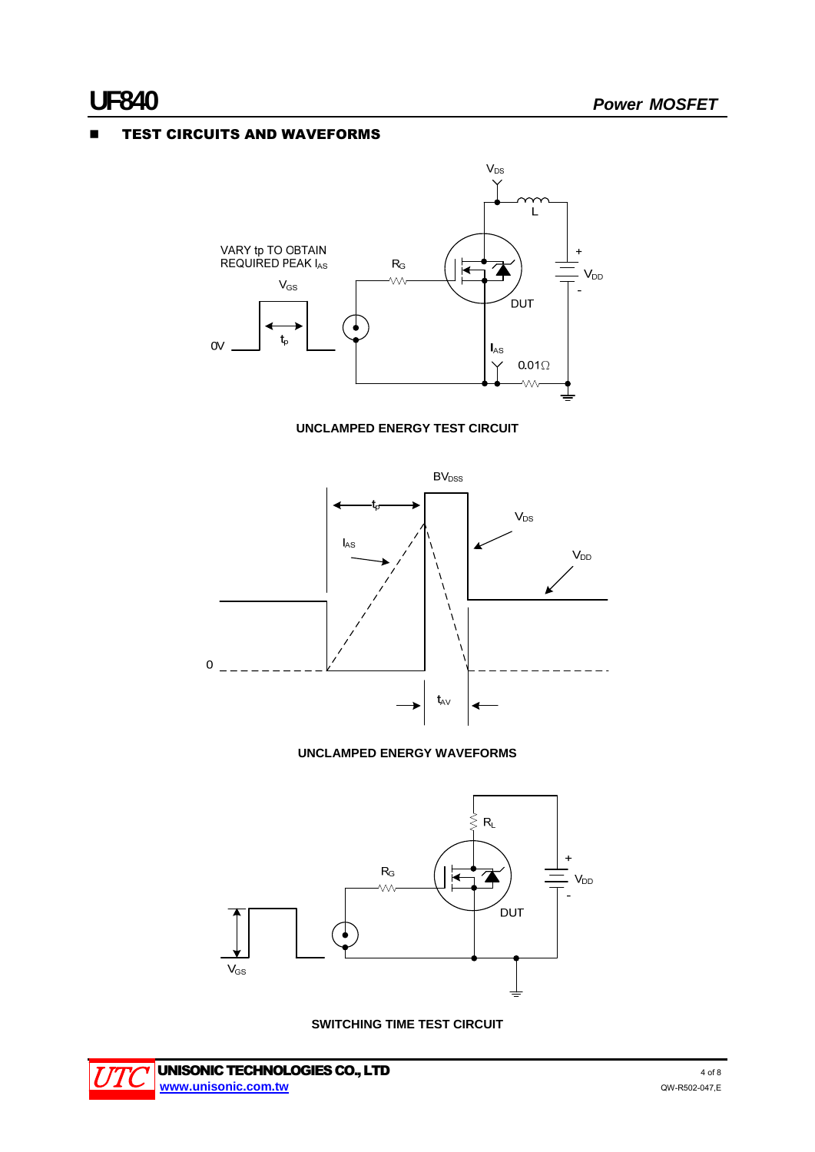# **E** TEST CIRCUITS AND WAVEFORMS



### **UNCLAMPED ENERGY TEST CIRCUIT**



#### **UNCLAMPED ENERGY WAVEFORMS**



**SWITCHING TIME TEST CIRCUIT** 

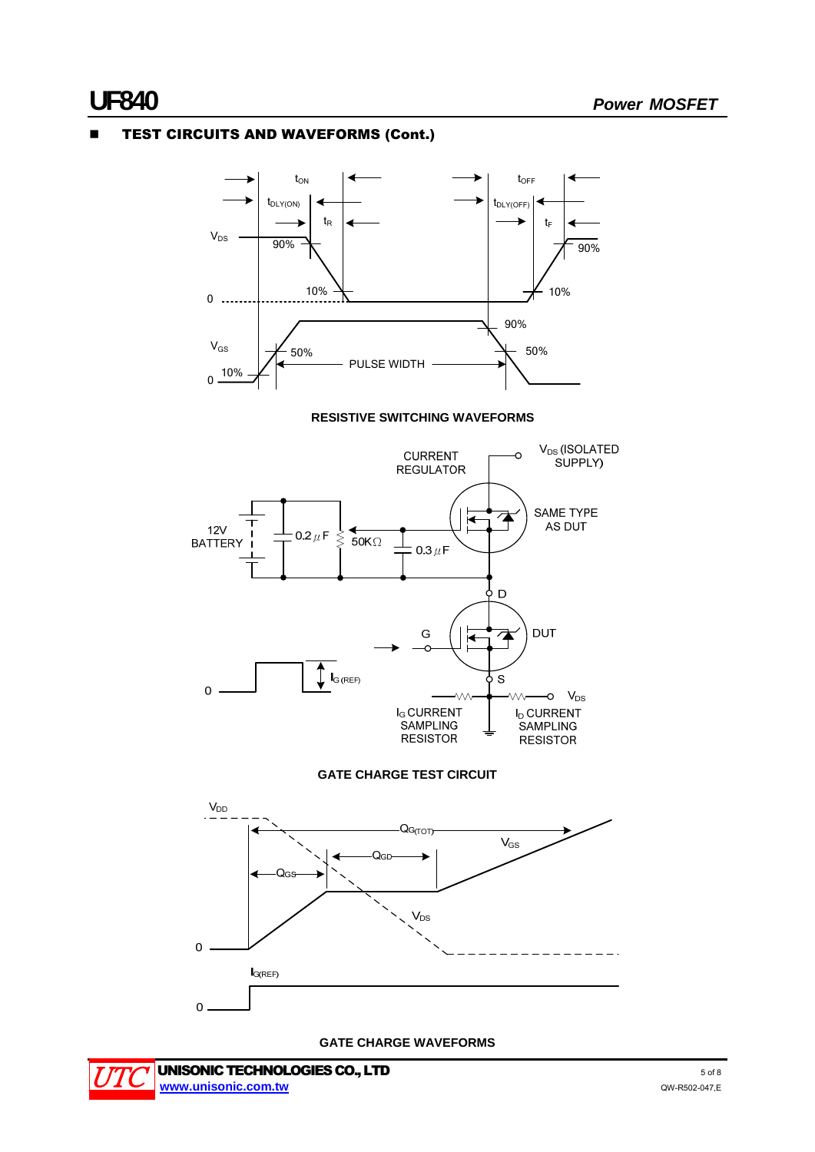# TEST CIRCUITS AND WAVEFORMS (Cont.)

t<sub>on</sub> tOFF  $t_{\text{DLY(ON)}}$ tDLY(OFF)  $t_{\mathsf{R}}$ t.  $V_{DS}$ 90% 90% 10% <sup>0</sup> 10% 90%  $V_{\rm{GS}}$   $\rightarrow$  50%  $\rightarrow$  50%  $\begin{picture}(10,10) \put(0,0){\line(10,0){10}} \put(10,0){\line(10,0){10}} \put(10,0){\line(10,0){10}} \put(10,0){\line(10,0){10}} \put(10,0){\line(10,0){10}} \put(10,0){\line(10,0){10}} \put(10,0){\line(10,0){10}} \put(10,0){\line(10,0){10}} \put(10,0){\line(10,0){10}} \put(10,0){\line(10,0){10}} \put(10,0){\line(10,0){10}} \$  **RESISTIVE SWITCHING WAVEFORMS**  V<sub>DS</sub> (ISOLATED **CURRENT**  $\Omega$ SUPPLY) **REGULATOR** SAME TYPE  $\overline{\mathbf{A}}$ i∢ AS DUT  $12V$  $0.2 \mu F$  $\hat{\leq}$  $50K<sub>\Omega</sub>$ **BATTERY**  $0.3 \mu F$  $\overline{D}$ ዕ  $\overline{\mathbf{A}}$ **DUT** G  $\int_{G(REF)}$ ի s  $\overline{0}$  $-0$   $V_{DS}$ I<sub>G</sub> CURRENT **I<sub>D</sub> CURRENT** 

**GATE CHARGE TEST CIRCUIT** 

SAMPLING

**RESISTOR** 

SAMPLING

**RESISTOR** 



**GATE CHARGE WAVEFORMS** 

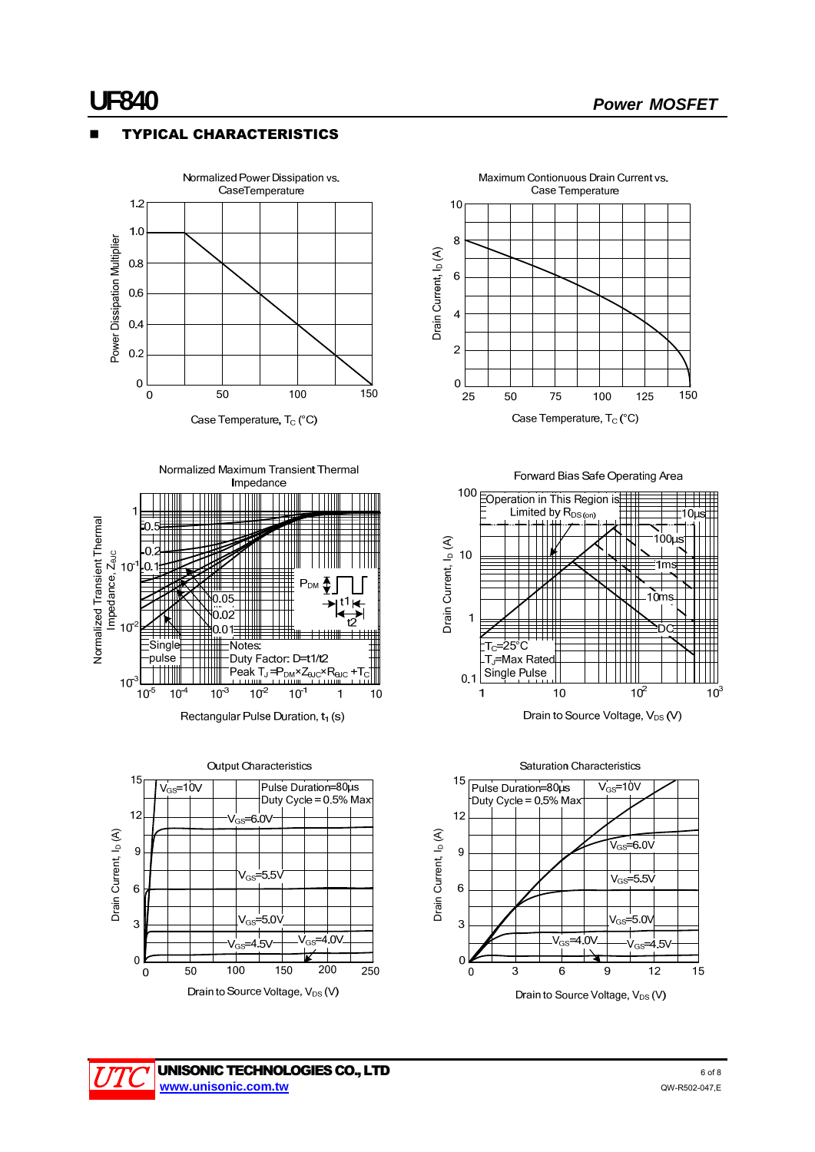# TYPICAL CHARACTERISTICS



Case Temperature, T<sub>c</sub> (°C)



Rectangular Pulse Duration, t<sub>1</sub> (s)











**UNISONIC TECHNOLOGIES CO., LTD 6 OF 8 DEAL OF STATION CONSUMING OF 8 OF 8 GOT 8 www.unisonic.com.tw** QW-R502-047,E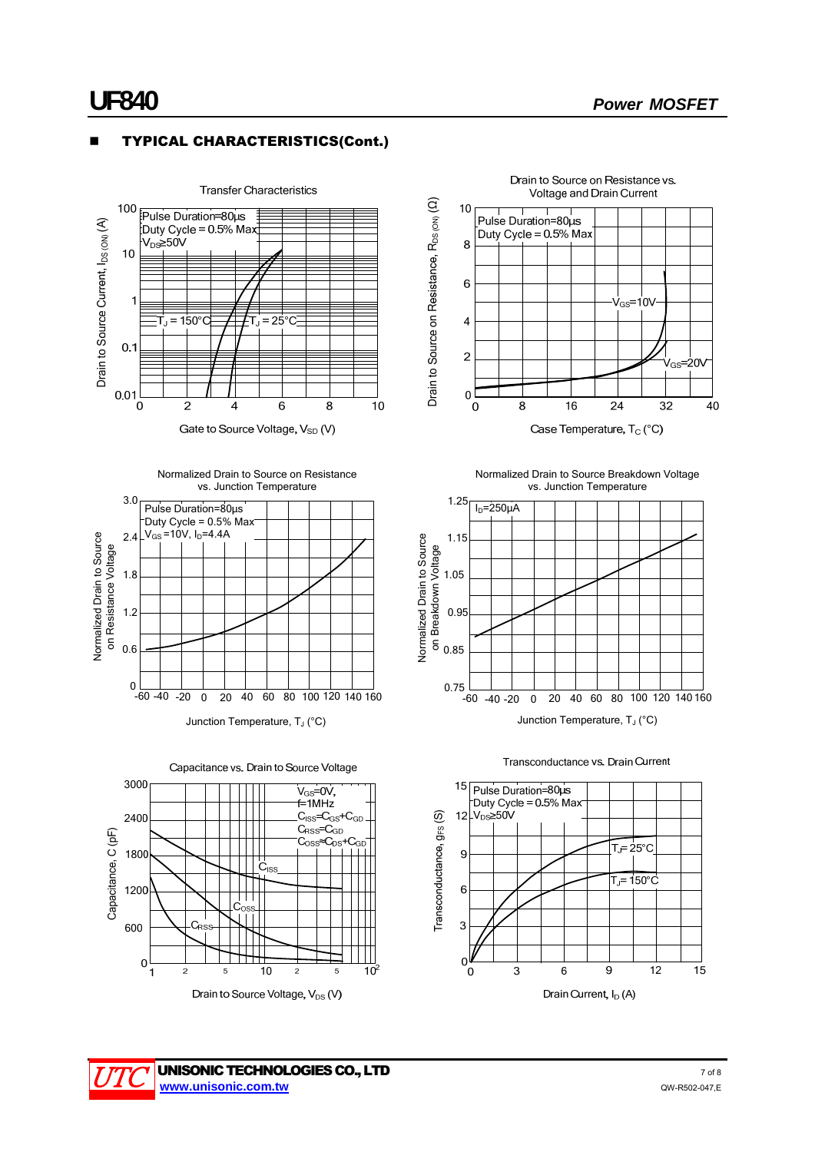# TYPICAL CHARACTERISTICS(Cont.)





Drain to Source on Resistance vs.





Junction Temperature, T<sub>J</sub> (°C)





Drain to Source Voltage, V<sub>DS</sub> (V)